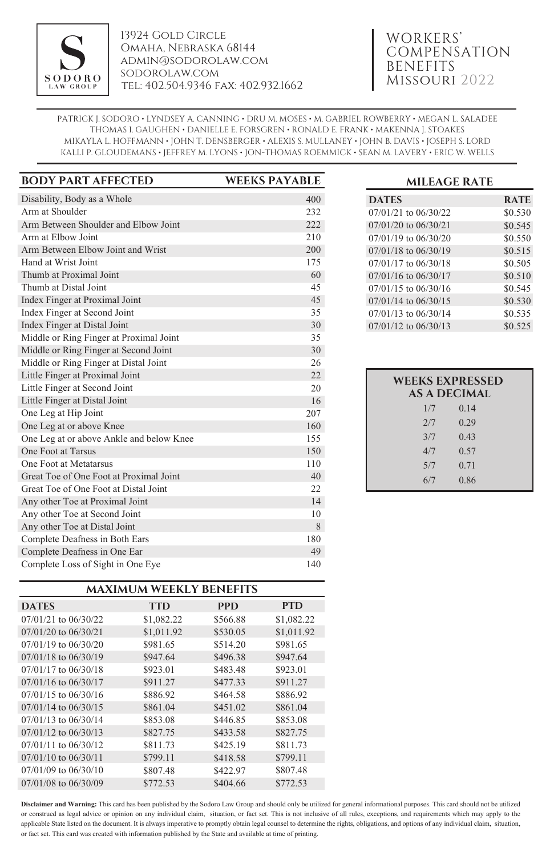

13924 Gold Circle Omaha, Nebraska 68144 admin@sodorolaw.com sodorolaw.com tel: 402.504.9346 fax: 402.932.1662

# WORKERS' **COMPENSATION** BENEFITS Missouri 2022

PATRICK J. SODORO • LYNDSEY A. CANNING • DRU M. MOSES • M. GABRIEL ROWBERRY • MEGAN L. SALADEE THOMAS I. GAUGHEN • DANIELLE E. FORSGREN • RONALD E. FRANK • MAKENNA J. STOAKES MIKAYLA L. HOFFMANN • JOHN T. DENSBERGER • ALEXIS S. MULLANEY • JOHN B. DAVIS • JOSEPH S. LORD KALLI P. GLOUDEMANS • JEFFREY M. LYONS • JON-THOMAS ROEMMICK • SEAN M. LAVERY • ERIC W. WELLS

| <b>BODY PART AFFECTED</b>                | <b>WEEKS PAYABLE</b> |
|------------------------------------------|----------------------|
| Disability, Body as a Whole              | 400                  |
| Arm at Shoulder                          | 232                  |
| Arm Between Shoulder and Elbow Joint     | 222                  |
| Arm at Elbow Joint                       | 210                  |
| Arm Between Elbow Joint and Wrist        | 200                  |
| Hand at Wrist Joint                      | 175                  |
| Thumb at Proximal Joint                  | 60                   |
| Thumb at Distal Joint                    | 45                   |
| Index Finger at Proximal Joint           | 45                   |
| Index Finger at Second Joint             | 35                   |
| Index Finger at Distal Joint             | 30                   |
| Middle or Ring Finger at Proximal Joint  | 35                   |
| Middle or Ring Finger at Second Joint    | 30                   |
| Middle or Ring Finger at Distal Joint    | 26                   |
| Little Finger at Proximal Joint          | 22                   |
| Little Finger at Second Joint            | 20                   |
| Little Finger at Distal Joint            | 16                   |
| One Leg at Hip Joint                     | 207                  |
| One Leg at or above Knee                 | 160                  |
| One Leg at or above Ankle and below Knee | 155                  |
| One Foot at Tarsus                       | 150                  |
| One Foot at Metatarsus                   | 110                  |
| Great Toe of One Foot at Proximal Joint  | 40                   |
| Great Toe of One Foot at Distal Joint    | 22                   |
| Any other Toe at Proximal Joint          | 14                   |
| Any other Toe at Second Joint            | 10                   |
| Any other Toe at Distal Joint            | 8                    |
| Complete Deafness in Both Ears           | 180                  |
| Complete Deafness in One Ear             | 49                   |
| Complete Loss of Sight in One Eye        | 140                  |

| <b>MAXIMUM WEEKLY BENEFITS</b> |            |            |            |  |  |
|--------------------------------|------------|------------|------------|--|--|
| <b>DATES</b>                   | <b>TTD</b> | <b>PPD</b> | PTD        |  |  |
| $07/01/21$ to $06/30/22$       | \$1,082.22 | \$566.88   | \$1,082.22 |  |  |
| $07/01/20$ to $06/30/21$       | \$1,011.92 | \$530.05   | \$1,011.92 |  |  |
| $07/01/19$ to $06/30/20$       | \$981.65   | \$514.20   | \$981.65   |  |  |
| $07/01/18$ to $06/30/19$       | \$947.64   | \$496.38   | \$947.64   |  |  |
| $07/01/17$ to $06/30/18$       | \$923.01   | \$483.48   | \$923.01   |  |  |
| $07/01/16$ to $06/30/17$       | \$911.27   | \$477.33   | \$911.27   |  |  |
| $07/01/15$ to $06/30/16$       | \$886.92   | \$464.58   | \$886.92   |  |  |
| $07/01/14$ to $06/30/15$       | \$861.04   | \$451.02   | \$861.04   |  |  |
| $07/01/13$ to $06/30/14$       | \$853.08   | \$446.85   | \$853.08   |  |  |
| $07/01/12$ to $06/30/13$       | \$827.75   | \$433.58   | \$827.75   |  |  |
| $07/01/11$ to $06/30/12$       | \$811.73   | \$425.19   | \$811.73   |  |  |
| $07/01/10$ to $06/30/11$       | \$799.11   | \$418.58   | \$799.11   |  |  |
| $07/01/09$ to $06/30/10$       | \$807.48   | \$422.97   | \$807.48   |  |  |
| $07/01/08$ to $06/30/09$       | \$772.53   | \$404.66   | \$772.53   |  |  |

## **MILEAGE RATE**

| <b>DATES</b>             | <b>RATE</b> |
|--------------------------|-------------|
| $07/01/21$ to $06/30/22$ | \$0.530     |
| 07/01/20 to 06/30/21     | \$0.545     |
| 07/01/19 to 06/30/20     | \$0.550     |
| $07/01/18$ to $06/30/19$ | \$0.515     |
| 07/01/17 to 06/30/18     | \$0.505     |
| 07/01/16 to 06/30/17     | \$0.510     |
| $07/01/15$ to $06/30/16$ | \$0.545     |
| $07/01/14$ to $06/30/15$ | \$0.530     |
| $07/01/13$ to $06/30/14$ | \$0.535     |
| $07/01/12$ to $06/30/13$ | \$0.525     |

| <b>WEEKS EXPRESSED</b><br><b>AS A DECIMAL</b> |      |  |  |
|-----------------------------------------------|------|--|--|
| 1/7                                           | 0.14 |  |  |
| 2/7                                           | 0.29 |  |  |
| 3/7                                           | 0.43 |  |  |
| 4/7                                           | 0.57 |  |  |
| 5/7                                           | 0.71 |  |  |
| 6/7                                           | 0.86 |  |  |
|                                               |      |  |  |

**Disclaimer and Warning:** This card has been published by the Sodoro Law Group and should only be utilized for general informational purposes. This card should not be utilized or construed as legal advice or opinion on any individual claim, situation, or fact set. This is not inclusive of all rules, exceptions, and requirements which may apply to the applicable State listed on the document. It is always imperative to promptly obtain legal counsel to determine the rights, obligations, and options of any individual claim, situation, or fact set. This card was created with information published by the State and available at time of printing.